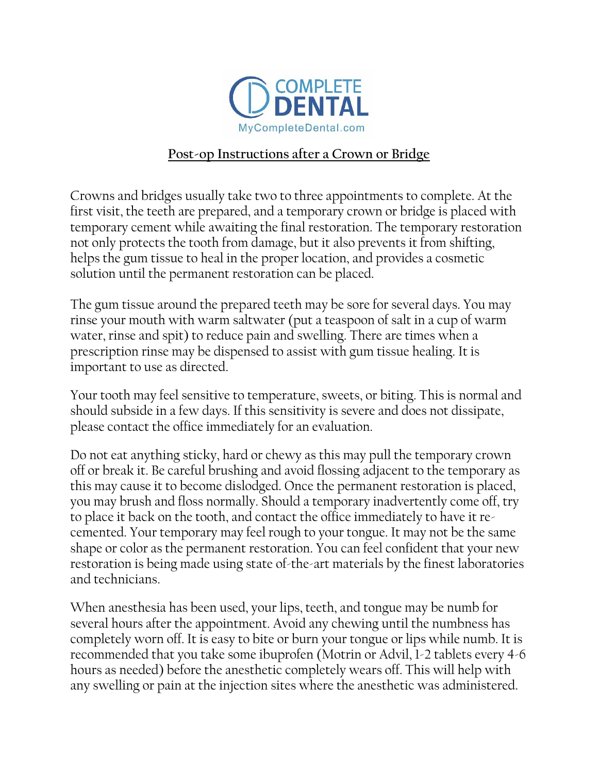

## **Post-op Instructions after a Crown or Bridge**

Crowns and bridges usually take two to three appointments to complete. At the first visit, the teeth are prepared, and a temporary crown or bridge is placed with temporary cement while awaiting the final restoration. The temporary restoration not only protects the tooth from damage, but it also prevents it from shifting, helps the gum tissue to heal in the proper location, and provides a cosmetic solution until the permanent restoration can be placed.

The gum tissue around the prepared teeth may be sore for several days. You may rinse your mouth with warm saltwater (put a teaspoon of salt in a cup of warm water, rinse and spit) to reduce pain and swelling. There are times when a prescription rinse may be dispensed to assist with gum tissue healing. It is important to use as directed.

Your tooth may feel sensitive to temperature, sweets, or biting. This is normal and should subside in a few days. If this sensitivity is severe and does not dissipate, please contact the office immediately for an evaluation.

Do not eat anything sticky, hard or chewy as this may pull the temporary crown off or break it. Be careful brushing and avoid flossing adjacent to the temporary as this may cause it to become dislodged. Once the permanent restoration is placed, you may brush and floss normally. Should a temporary inadvertently come off, try to place it back on the tooth, and contact the office immediately to have it recemented. Your temporary may feel rough to your tongue. It may not be the same shape or color as the permanent restoration. You can feel confident that your new restoration is being made using state of-the-art materials by the finest laboratories and technicians.

When anesthesia has been used, your lips, teeth, and tongue may be numb for several hours after the appointment. Avoid any chewing until the numbness has completely worn off. It is easy to bite or burn your tongue or lips while numb. It is recommended that you take some ibuprofen (Motrin or Advil, 1-2 tablets every 4-6 hours as needed) before the anesthetic completely wears off. This will help with any swelling or pain at the injection sites where the anesthetic was administered.